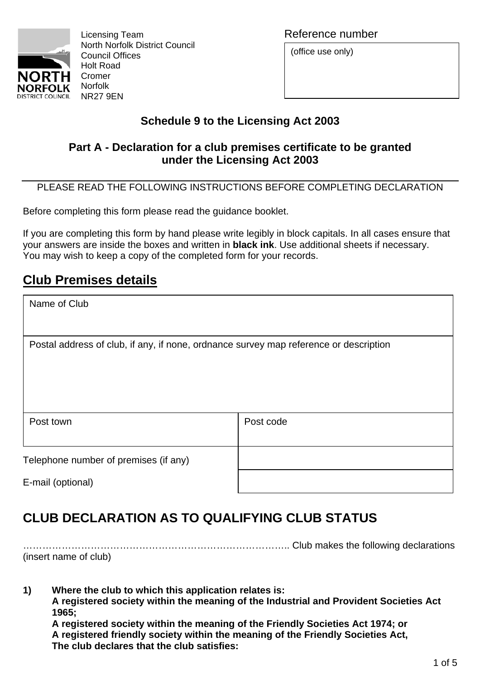

Licensing Team **Reference** number North Norfolk District Council Council Offices Holt Road

(office use only)

## **Schedule 9 to the Licensing Act 2003**

## **Part A - Declaration for a club premises certificate to be granted under the Licensing Act 2003**

PLEASE READ THE FOLLOWING INSTRUCTIONS BEFORE COMPLETING DECLARATION

Before completing this form please read the guidance booklet.

If you are completing this form by hand please write legibly in block capitals. In all cases ensure that your answers are inside the boxes and written in **black ink**. Use additional sheets if necessary. You may wish to keep a copy of the completed form for your records.

## **Club Premises details**

| Name of Club                                                                          |           |  |
|---------------------------------------------------------------------------------------|-----------|--|
| Postal address of club, if any, if none, ordnance survey map reference or description |           |  |
| Post town                                                                             | Post code |  |
| Telephone number of premises (if any)<br>E-mail (optional)                            |           |  |

# **CLUB DECLARATION AS TO QUALIFYING CLUB STATUS**

……………………………………………………………………….. Club makes the following declarations (insert name of club)

**1) Where the club to which this application relates is: A registered society within the meaning of the Industrial and Provident Societies Act 1965;** 

**A registered society within the meaning of the Friendly Societies Act 1974; or A registered friendly society within the meaning of the Friendly Societies Act, The club declares that the club satisfies:**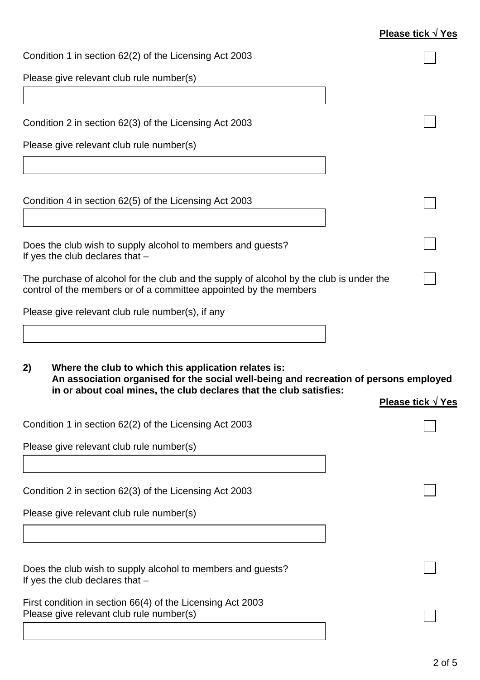## **Please tick** √ **Yes**

| Condition 1 in section 62(2) of the Licensing Act 2003                                                                                                       |                          |
|--------------------------------------------------------------------------------------------------------------------------------------------------------------|--------------------------|
| Please give relevant club rule number(s)                                                                                                                     |                          |
|                                                                                                                                                              |                          |
| Condition 2 in section 62(3) of the Licensing Act 2003                                                                                                       |                          |
| Please give relevant club rule number(s)                                                                                                                     |                          |
|                                                                                                                                                              |                          |
| Condition 4 in section 62(5) of the Licensing Act 2003                                                                                                       |                          |
| Does the club wish to supply alcohol to members and guests?<br>If yes the club declares that $-$                                                             |                          |
| The purchase of alcohol for the club and the supply of alcohol by the club is under the<br>control of the members or of a committee appointed by the members |                          |
| Please give relevant club rule number(s), if any                                                                                                             |                          |
|                                                                                                                                                              |                          |
| Where the club to which this application relates is:<br>2)<br>An association organised for the social well-being and recreation of persons employed          |                          |
| in or about coal mines, the club declares that the club satisfies:                                                                                           | <b>Please tick √ Yes</b> |
| Condition 1 in section 62(2) of the Licensing Act 2003                                                                                                       |                          |
| Please give relevant club rule number(s)                                                                                                                     |                          |
|                                                                                                                                                              |                          |
| Condition 2 in section 62(3) of the Licensing Act 2003                                                                                                       |                          |
| Please give relevant club rule number(s)                                                                                                                     |                          |
|                                                                                                                                                              |                          |
| Does the club wish to supply alcohol to members and guests?<br>If yes the club declares that $-$                                                             |                          |
| First condition in section 66(4) of the Licensing Act 2003<br>Please give relevant club rule number(s)                                                       |                          |
|                                                                                                                                                              |                          |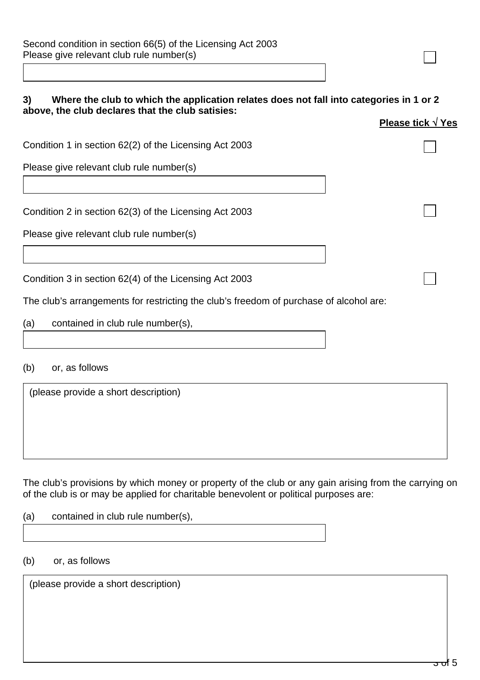| Second condition in section 66(5) of the Licensing Act 2003 |  |
|-------------------------------------------------------------|--|
| Please give relevant club rule number(s)                    |  |

#### **3) Where the club to which the application relates does not fall into categories in 1 or 2 above, the club declares that the club satisies:**

| Please tick $\sqrt{Y}$ es |  |  |
|---------------------------|--|--|
|                           |  |  |
|                           |  |  |

Condition 1 in section 62(2) of the Licensing Act 2003

Please give relevant club rule number(s)

Condition 2 in section 62(3) of the Licensing Act 2003

Please give relevant club rule number(s)

Condition 3 in section 62(4) of the Licensing Act 2003

The club's arrangements for restricting the club's freedom of purchase of alcohol are:

(a) contained in club rule number(s),

### (b) or, as follows

(please provide a short description)

The club's provisions by which money or property of the club or any gain arising from the carrying on of the club is or may be applied for charitable benevolent or political purposes are:

| (a)<br>contained in club rule number(s), |  |
|------------------------------------------|--|
|                                          |  |

#### (b) or, as follows

(please provide a short description)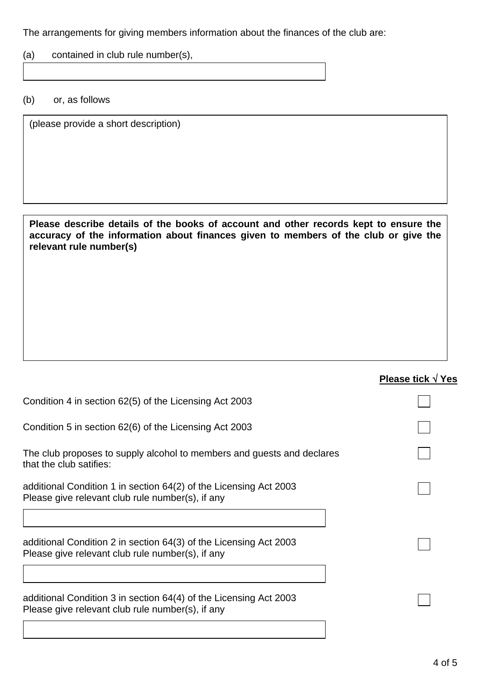The arrangements for giving members information about the finances of the club are:

(a) contained in club rule number(s),

(b) or, as follows

(please provide a short description)

#### **Please describe details of the books of account and other records kept to ensure the accuracy of the information about finances given to members of the club or give the relevant rule number(s)**

| Please tick $\sqrt{Y}$ es |
|---------------------------|
|                           |
|                           |
|                           |
|                           |
|                           |
|                           |
|                           |